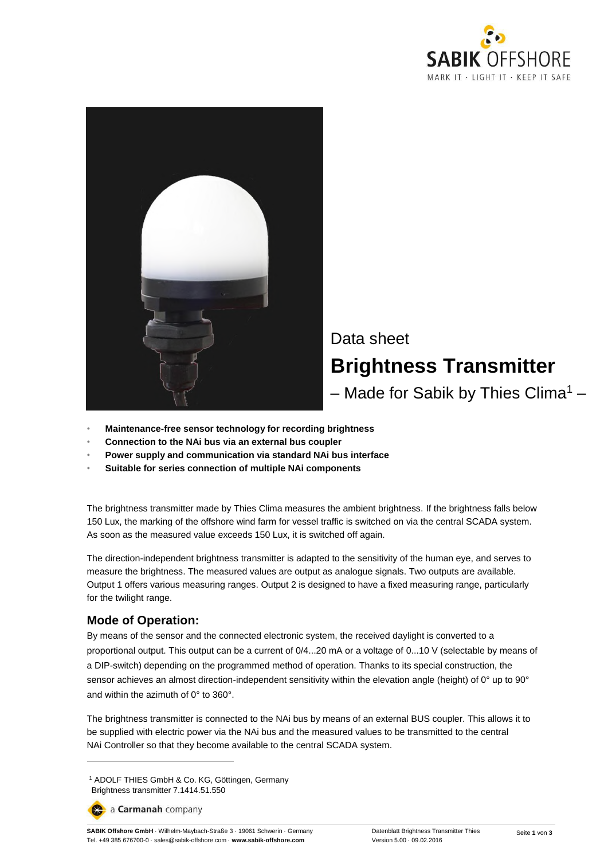



- **Maintenance-free sensor technology for recording brightness**
- **Connection to the NAi bus via an external bus coupler**
- **Power supply and communication via standard NAi bus interface**
- **Suitable for series connection of multiple NAi components**

The brightness transmitter made by Thies Clima measures the ambient brightness. If the brightness falls below 150 Lux, the marking of the offshore wind farm for vessel traffic is switched on via the central SCADA system. As soon as the measured value exceeds 150 Lux, it is switched off again.

The direction-independent brightness transmitter is adapted to the sensitivity of the human eye, and serves to measure the brightness. The measured values are output as analogue signals. Two outputs are available. Output 1 offers various measuring ranges. Output 2 is designed to have a fixed measuring range, particularly for the twilight range.

#### **Mode of Operation:**

By means of the sensor and the connected electronic system, the received daylight is converted to a proportional output. This output can be a current of 0/4...20 mA or a voltage of 0...10 V (selectable by means of a DIP-switch) depending on the programmed method of operation. Thanks to its special construction, the sensor achieves an almost direction-independent sensitivity within the elevation angle (height) of 0° up to 90° and within the azimuth of 0° to 360°.

The brightness transmitter is connected to the NAi bus by means of an external BUS coupler. This allows it to be supplied with electric power via the NAi bus and the measured values to be transmitted to the central NAi Controller so that they become available to the central SCADA system.

a Carmanah company

 $\overline{a}$ 

<sup>1</sup> ADOLF THIES GmbH & Co. KG, Göttingen, Germany Brightness transmitter 7.1414.51.550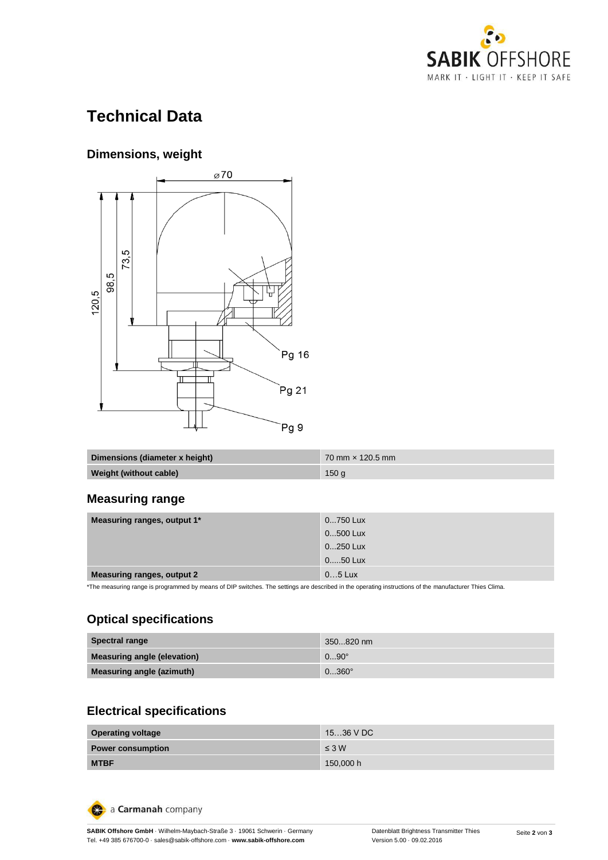

# **Technical Data**

### **Dimensions, weight**



| Dimensions (diameter x height) | $70 \text{ mm} \times 120.5 \text{ mm}$ |
|--------------------------------|-----------------------------------------|
| Weight (without cable)         | 150q                                    |

### **Measuring range**

| Measuring ranges, output 1*            | 0750 Lux                                                                                                                       |
|----------------------------------------|--------------------------------------------------------------------------------------------------------------------------------|
|                                        | 0500 Lux                                                                                                                       |
|                                        | 0250 Lux                                                                                                                       |
|                                        | 050 Lux                                                                                                                        |
| <b>Measuring ranges, output 2</b>      | $05$ Lux                                                                                                                       |
| $\sim$<br>$\cdots$<br>.<br>. .<br>$-1$ | the contract of the contract of the contract of the contract of the contract of the contract of the contract of<br>___<br>$-1$ |

\*The measuring range is programmed by means of DIP switches. The settings are described in the operating instructions of the manufacturer Thies Clima.

# **Optical specifications**

| <b>Spectral range</b>              | 350820 nm      |
|------------------------------------|----------------|
| <b>Measuring angle (elevation)</b> | $090^{\circ}$  |
| Measuring angle (azimuth)          | $0360^{\circ}$ |

# **Electrical specifications**

| <b>Operating voltage</b> | 1536 V DC  |
|--------------------------|------------|
| <b>Power consumption</b> | $\leq 3$ W |
| <b>MTBF</b>              | 150,000 h  |